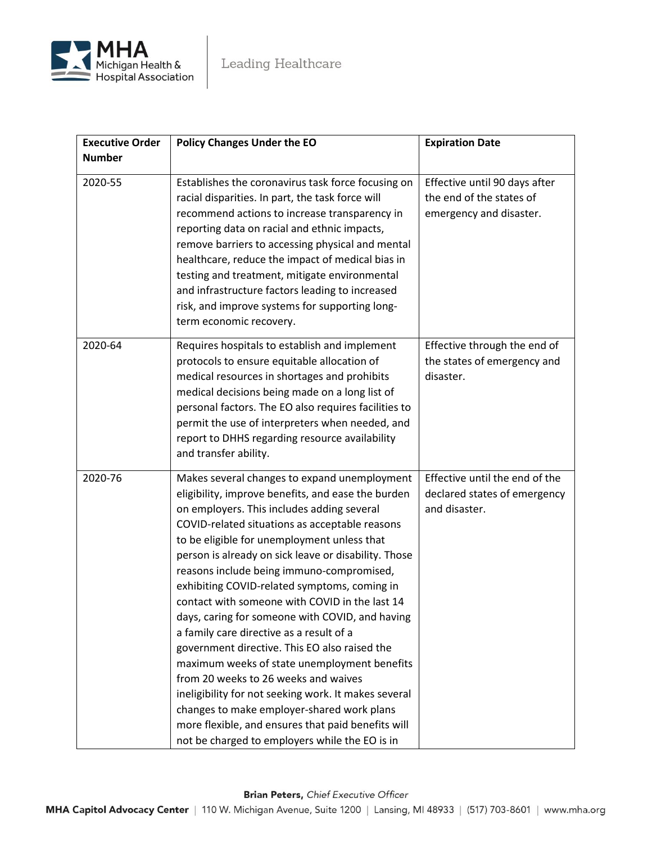

| <b>Executive Order</b> | <b>Policy Changes Under the EO</b>                                                                                                                                                                                                                                                                                                                                                                                                                                                                                                                                                                                                                                                                                                                                                                                                                                                                             | <b>Expiration Date</b>                                                               |
|------------------------|----------------------------------------------------------------------------------------------------------------------------------------------------------------------------------------------------------------------------------------------------------------------------------------------------------------------------------------------------------------------------------------------------------------------------------------------------------------------------------------------------------------------------------------------------------------------------------------------------------------------------------------------------------------------------------------------------------------------------------------------------------------------------------------------------------------------------------------------------------------------------------------------------------------|--------------------------------------------------------------------------------------|
| <b>Number</b>          |                                                                                                                                                                                                                                                                                                                                                                                                                                                                                                                                                                                                                                                                                                                                                                                                                                                                                                                |                                                                                      |
| 2020-55                | Establishes the coronavirus task force focusing on<br>racial disparities. In part, the task force will<br>recommend actions to increase transparency in<br>reporting data on racial and ethnic impacts,<br>remove barriers to accessing physical and mental<br>healthcare, reduce the impact of medical bias in<br>testing and treatment, mitigate environmental<br>and infrastructure factors leading to increased<br>risk, and improve systems for supporting long-<br>term economic recovery.                                                                                                                                                                                                                                                                                                                                                                                                               | Effective until 90 days after<br>the end of the states of<br>emergency and disaster. |
| 2020-64                | Requires hospitals to establish and implement<br>protocols to ensure equitable allocation of<br>medical resources in shortages and prohibits<br>medical decisions being made on a long list of<br>personal factors. The EO also requires facilities to<br>permit the use of interpreters when needed, and<br>report to DHHS regarding resource availability<br>and transfer ability.                                                                                                                                                                                                                                                                                                                                                                                                                                                                                                                           | Effective through the end of<br>the states of emergency and<br>disaster.             |
| 2020-76                | Makes several changes to expand unemployment<br>eligibility, improve benefits, and ease the burden<br>on employers. This includes adding several<br>COVID-related situations as acceptable reasons<br>to be eligible for unemployment unless that<br>person is already on sick leave or disability. Those<br>reasons include being immuno-compromised,<br>exhibiting COVID-related symptoms, coming in<br>contact with someone with COVID in the last 14<br>days, caring for someone with COVID, and having<br>a family care directive as a result of a<br>government directive. This EO also raised the<br>maximum weeks of state unemployment benefits<br>from 20 weeks to 26 weeks and waives<br>ineligibility for not seeking work. It makes several<br>changes to make employer-shared work plans<br>more flexible, and ensures that paid benefits will<br>not be charged to employers while the EO is in | Effective until the end of the<br>declared states of emergency<br>and disaster.      |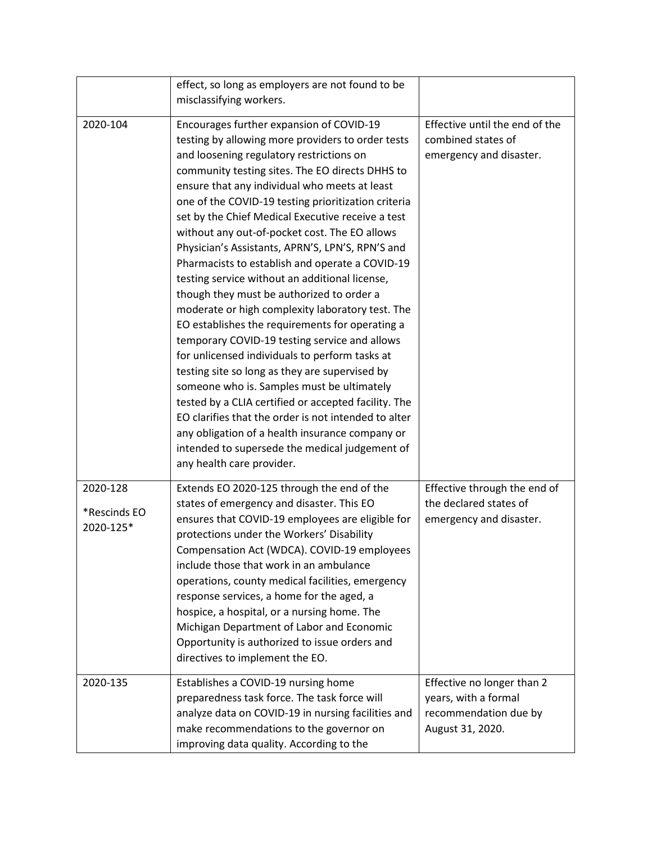|                                       | effect, so long as employers are not found to be                                                                                                                                                                                                                                                                                                                                                                                                                                                                                                                                                                                                                                                                                                                                                                                                                                                                                                                                                                                                                                                                                                                             |                                                                                                 |
|---------------------------------------|------------------------------------------------------------------------------------------------------------------------------------------------------------------------------------------------------------------------------------------------------------------------------------------------------------------------------------------------------------------------------------------------------------------------------------------------------------------------------------------------------------------------------------------------------------------------------------------------------------------------------------------------------------------------------------------------------------------------------------------------------------------------------------------------------------------------------------------------------------------------------------------------------------------------------------------------------------------------------------------------------------------------------------------------------------------------------------------------------------------------------------------------------------------------------|-------------------------------------------------------------------------------------------------|
|                                       | misclassifying workers.                                                                                                                                                                                                                                                                                                                                                                                                                                                                                                                                                                                                                                                                                                                                                                                                                                                                                                                                                                                                                                                                                                                                                      |                                                                                                 |
| 2020-104                              | Encourages further expansion of COVID-19<br>testing by allowing more providers to order tests<br>and loosening regulatory restrictions on<br>community testing sites. The EO directs DHHS to<br>ensure that any individual who meets at least<br>one of the COVID-19 testing prioritization criteria<br>set by the Chief Medical Executive receive a test<br>without any out-of-pocket cost. The EO allows<br>Physician's Assistants, APRN'S, LPN'S, RPN'S and<br>Pharmacists to establish and operate a COVID-19<br>testing service without an additional license,<br>though they must be authorized to order a<br>moderate or high complexity laboratory test. The<br>EO establishes the requirements for operating a<br>temporary COVID-19 testing service and allows<br>for unlicensed individuals to perform tasks at<br>testing site so long as they are supervised by<br>someone who is. Samples must be ultimately<br>tested by a CLIA certified or accepted facility. The<br>EO clarifies that the order is not intended to alter<br>any obligation of a health insurance company or<br>intended to supersede the medical judgement of<br>any health care provider. | Effective until the end of the<br>combined states of<br>emergency and disaster.                 |
| 2020-128<br>*Rescinds EO<br>2020-125* | Extends EO 2020-125 through the end of the<br>states of emergency and disaster. This EO<br>ensures that COVID-19 employees are eligible for<br>protections under the Workers' Disability<br>Compensation Act (WDCA). COVID-19 employees<br>include those that work in an ambulance<br>operations, county medical facilities, emergency<br>response services, a home for the aged, a<br>hospice, a hospital, or a nursing home. The<br>Michigan Department of Labor and Economic<br>Opportunity is authorized to issue orders and<br>directives to implement the EO.                                                                                                                                                                                                                                                                                                                                                                                                                                                                                                                                                                                                          | Effective through the end of<br>the declared states of<br>emergency and disaster.               |
| 2020-135                              | Establishes a COVID-19 nursing home<br>preparedness task force. The task force will<br>analyze data on COVID-19 in nursing facilities and<br>make recommendations to the governor on<br>improving data quality. According to the                                                                                                                                                                                                                                                                                                                                                                                                                                                                                                                                                                                                                                                                                                                                                                                                                                                                                                                                             | Effective no longer than 2<br>years, with a formal<br>recommendation due by<br>August 31, 2020. |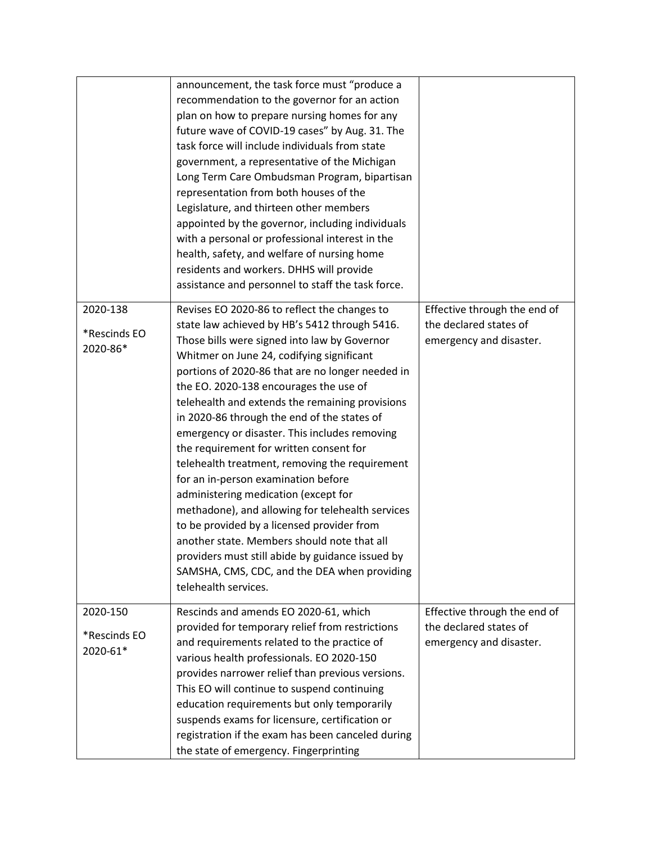|                                      | announcement, the task force must "produce a<br>recommendation to the governor for an action<br>plan on how to prepare nursing homes for any<br>future wave of COVID-19 cases" by Aug. 31. The<br>task force will include individuals from state<br>government, a representative of the Michigan<br>Long Term Care Ombudsman Program, bipartisan<br>representation from both houses of the<br>Legislature, and thirteen other members<br>appointed by the governor, including individuals<br>with a personal or professional interest in the<br>health, safety, and welfare of nursing home<br>residents and workers. DHHS will provide<br>assistance and personnel to staff the task force.                                                                                                                                                                                                         |                                                                                   |
|--------------------------------------|------------------------------------------------------------------------------------------------------------------------------------------------------------------------------------------------------------------------------------------------------------------------------------------------------------------------------------------------------------------------------------------------------------------------------------------------------------------------------------------------------------------------------------------------------------------------------------------------------------------------------------------------------------------------------------------------------------------------------------------------------------------------------------------------------------------------------------------------------------------------------------------------------|-----------------------------------------------------------------------------------|
| 2020-138<br>*Rescinds EO<br>2020-86* | Revises EO 2020-86 to reflect the changes to<br>state law achieved by HB's 5412 through 5416.<br>Those bills were signed into law by Governor<br>Whitmer on June 24, codifying significant<br>portions of 2020-86 that are no longer needed in<br>the EO. 2020-138 encourages the use of<br>telehealth and extends the remaining provisions<br>in 2020-86 through the end of the states of<br>emergency or disaster. This includes removing<br>the requirement for written consent for<br>telehealth treatment, removing the requirement<br>for an in-person examination before<br>administering medication (except for<br>methadone), and allowing for telehealth services<br>to be provided by a licensed provider from<br>another state. Members should note that all<br>providers must still abide by guidance issued by<br>SAMSHA, CMS, CDC, and the DEA when providing<br>telehealth services. | Effective through the end of<br>the declared states of<br>emergency and disaster. |
| 2020-150<br>*Rescinds EO<br>2020-61* | Rescinds and amends EO 2020-61, which<br>provided for temporary relief from restrictions<br>and requirements related to the practice of<br>various health professionals. EO 2020-150<br>provides narrower relief than previous versions.<br>This EO will continue to suspend continuing<br>education requirements but only temporarily<br>suspends exams for licensure, certification or<br>registration if the exam has been canceled during<br>the state of emergency. Fingerprinting                                                                                                                                                                                                                                                                                                                                                                                                              | Effective through the end of<br>the declared states of<br>emergency and disaster. |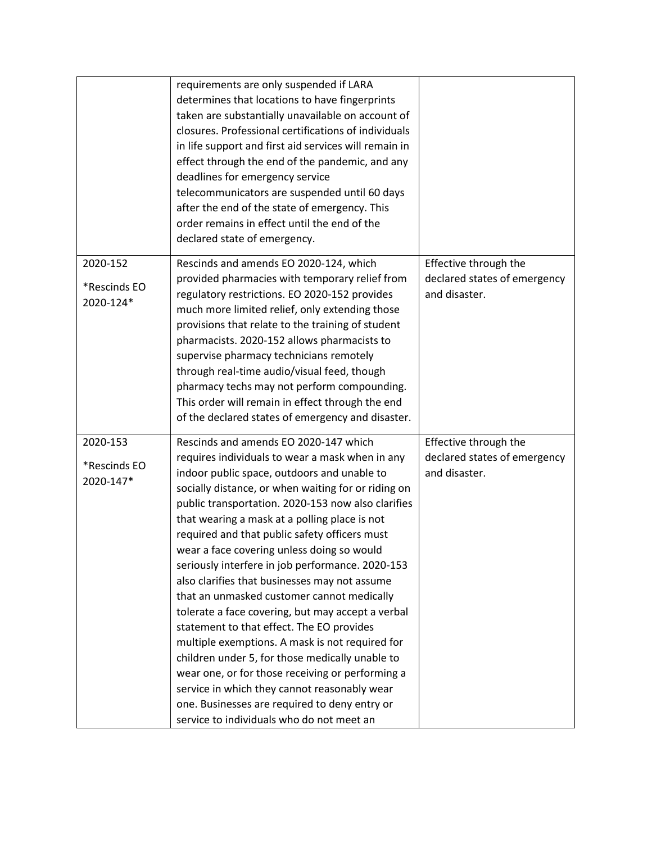|                                       | requirements are only suspended if LARA<br>determines that locations to have fingerprints<br>taken are substantially unavailable on account of<br>closures. Professional certifications of individuals<br>in life support and first aid services will remain in<br>effect through the end of the pandemic, and any<br>deadlines for emergency service<br>telecommunicators are suspended until 60 days<br>after the end of the state of emergency. This<br>order remains in effect until the end of the<br>declared state of emergency.                                                                                                                                                                                                                                                                                                                                                                                                                           |                                                                        |
|---------------------------------------|-------------------------------------------------------------------------------------------------------------------------------------------------------------------------------------------------------------------------------------------------------------------------------------------------------------------------------------------------------------------------------------------------------------------------------------------------------------------------------------------------------------------------------------------------------------------------------------------------------------------------------------------------------------------------------------------------------------------------------------------------------------------------------------------------------------------------------------------------------------------------------------------------------------------------------------------------------------------|------------------------------------------------------------------------|
| 2020-152<br>*Rescinds EO<br>2020-124* | Rescinds and amends EO 2020-124, which<br>provided pharmacies with temporary relief from<br>regulatory restrictions. EO 2020-152 provides<br>much more limited relief, only extending those<br>provisions that relate to the training of student<br>pharmacists. 2020-152 allows pharmacists to<br>supervise pharmacy technicians remotely<br>through real-time audio/visual feed, though<br>pharmacy techs may not perform compounding.<br>This order will remain in effect through the end<br>of the declared states of emergency and disaster.                                                                                                                                                                                                                                                                                                                                                                                                                 | Effective through the<br>declared states of emergency<br>and disaster. |
| 2020-153<br>*Rescinds EO<br>2020-147* | Rescinds and amends EO 2020-147 which<br>requires individuals to wear a mask when in any<br>indoor public space, outdoors and unable to<br>socially distance, or when waiting for or riding on<br>public transportation. 2020-153 now also clarifies<br>that wearing a mask at a polling place is not<br>required and that public safety officers must<br>wear a face covering unless doing so would<br>seriously interfere in job performance. 2020-153<br>also clarifies that businesses may not assume<br>that an unmasked customer cannot medically<br>tolerate a face covering, but may accept a verbal<br>statement to that effect. The EO provides<br>multiple exemptions. A mask is not required for<br>children under 5, for those medically unable to<br>wear one, or for those receiving or performing a<br>service in which they cannot reasonably wear<br>one. Businesses are required to deny entry or<br>service to individuals who do not meet an | Effective through the<br>declared states of emergency<br>and disaster. |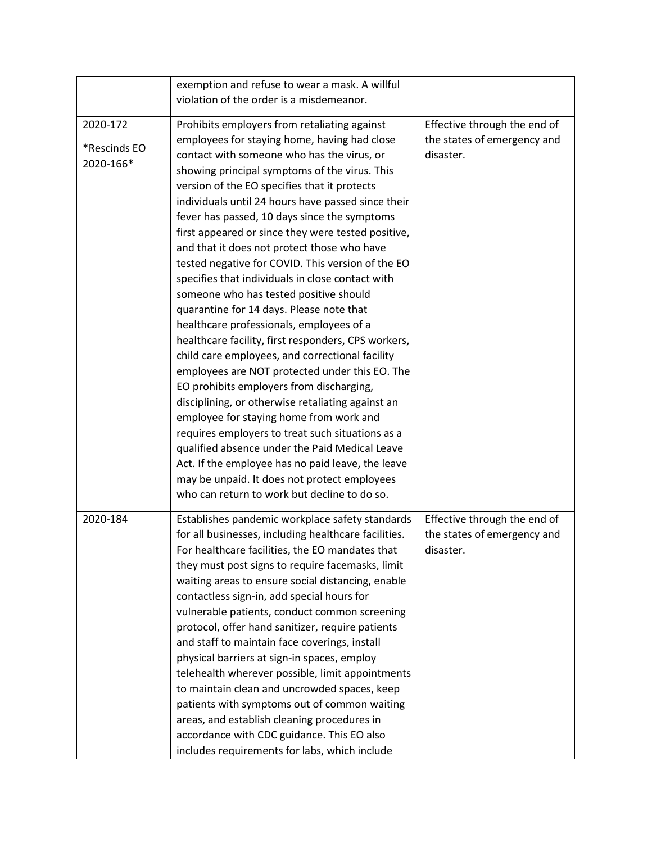|              | exemption and refuse to wear a mask. A willful       |                              |
|--------------|------------------------------------------------------|------------------------------|
|              | violation of the order is a misdemeanor.             |                              |
|              |                                                      |                              |
| 2020-172     | Prohibits employers from retaliating against         | Effective through the end of |
| *Rescinds EO | employees for staying home, having had close         | the states of emergency and  |
| 2020-166*    | contact with someone who has the virus, or           | disaster.                    |
|              | showing principal symptoms of the virus. This        |                              |
|              | version of the EO specifies that it protects         |                              |
|              | individuals until 24 hours have passed since their   |                              |
|              | fever has passed, 10 days since the symptoms         |                              |
|              | first appeared or since they were tested positive,   |                              |
|              | and that it does not protect those who have          |                              |
|              | tested negative for COVID. This version of the EO    |                              |
|              | specifies that individuals in close contact with     |                              |
|              | someone who has tested positive should               |                              |
|              | quarantine for 14 days. Please note that             |                              |
|              | healthcare professionals, employees of a             |                              |
|              | healthcare facility, first responders, CPS workers,  |                              |
|              | child care employees, and correctional facility      |                              |
|              | employees are NOT protected under this EO. The       |                              |
|              | EO prohibits employers from discharging,             |                              |
|              | disciplining, or otherwise retaliating against an    |                              |
|              | employee for staying home from work and              |                              |
|              | requires employers to treat such situations as a     |                              |
|              | qualified absence under the Paid Medical Leave       |                              |
|              | Act. If the employee has no paid leave, the leave    |                              |
|              | may be unpaid. It does not protect employees         |                              |
|              | who can return to work but decline to do so.         |                              |
|              |                                                      |                              |
| 2020-184     | Establishes pandemic workplace safety standards      | Effective through the end of |
|              | for all businesses, including healthcare facilities. | the states of emergency and  |
|              | For healthcare facilities, the EO mandates that      | disaster.                    |
|              | they must post signs to require facemasks, limit     |                              |
|              | waiting areas to ensure social distancing, enable    |                              |
|              | contactless sign-in, add special hours for           |                              |
|              | vulnerable patients, conduct common screening        |                              |
|              | protocol, offer hand sanitizer, require patients     |                              |
|              | and staff to maintain face coverings, install        |                              |
|              | physical barriers at sign-in spaces, employ          |                              |
|              | telehealth wherever possible, limit appointments     |                              |
|              | to maintain clean and uncrowded spaces, keep         |                              |
|              | patients with symptoms out of common waiting         |                              |
|              | areas, and establish cleaning procedures in          |                              |
|              | accordance with CDC guidance. This EO also           |                              |
|              |                                                      |                              |
|              | includes requirements for labs, which include        |                              |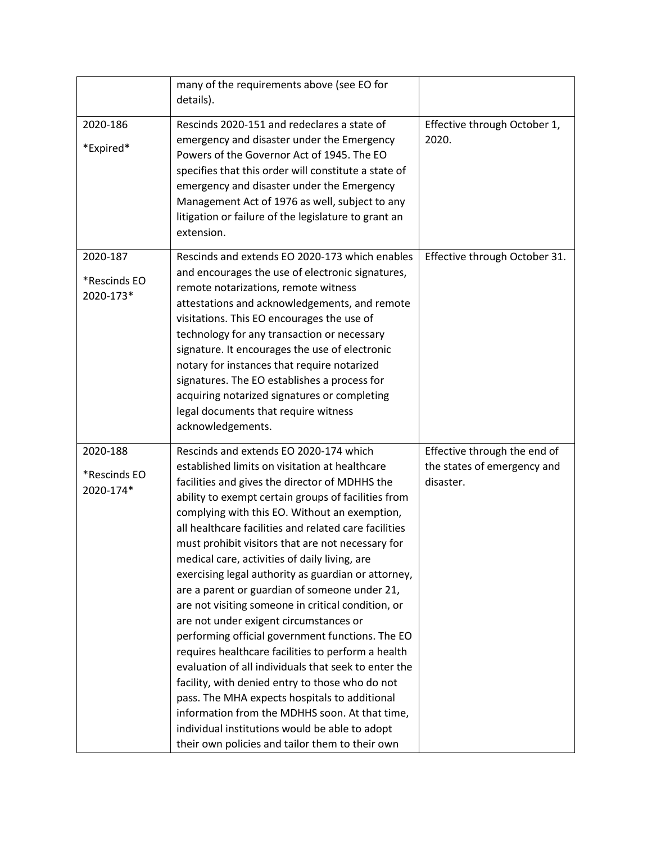| many of the requirements above (see EO for                                                                                                                                                                                                                                                                                                                                                                                                                                                                                                                                                                                                                                                                                                                                                                                                                                                              |                                                                                                    |
|---------------------------------------------------------------------------------------------------------------------------------------------------------------------------------------------------------------------------------------------------------------------------------------------------------------------------------------------------------------------------------------------------------------------------------------------------------------------------------------------------------------------------------------------------------------------------------------------------------------------------------------------------------------------------------------------------------------------------------------------------------------------------------------------------------------------------------------------------------------------------------------------------------|----------------------------------------------------------------------------------------------------|
|                                                                                                                                                                                                                                                                                                                                                                                                                                                                                                                                                                                                                                                                                                                                                                                                                                                                                                         | Effective through October 1,                                                                       |
| emergency and disaster under the Emergency<br>Powers of the Governor Act of 1945. The EO<br>specifies that this order will constitute a state of<br>emergency and disaster under the Emergency<br>Management Act of 1976 as well, subject to any<br>litigation or failure of the legislature to grant an<br>extension.                                                                                                                                                                                                                                                                                                                                                                                                                                                                                                                                                                                  | 2020.                                                                                              |
| Rescinds and extends EO 2020-173 which enables<br>and encourages the use of electronic signatures,<br>remote notarizations, remote witness<br>attestations and acknowledgements, and remote<br>visitations. This EO encourages the use of<br>technology for any transaction or necessary<br>signature. It encourages the use of electronic<br>notary for instances that require notarized<br>signatures. The EO establishes a process for<br>acquiring notarized signatures or completing<br>legal documents that require witness<br>acknowledgements.                                                                                                                                                                                                                                                                                                                                                  | Effective through October 31.                                                                      |
| established limits on visitation at healthcare<br>facilities and gives the director of MDHHS the<br>ability to exempt certain groups of facilities from<br>complying with this EO. Without an exemption,<br>all healthcare facilities and related care facilities<br>must prohibit visitors that are not necessary for<br>medical care, activities of daily living, are<br>exercising legal authority as guardian or attorney,<br>are a parent or guardian of someone under 21,<br>are not visiting someone in critical condition, or<br>are not under exigent circumstances or<br>performing official government functions. The EO<br>requires healthcare facilities to perform a health<br>evaluation of all individuals that seek to enter the<br>facility, with denied entry to those who do not<br>pass. The MHA expects hospitals to additional<br>information from the MDHHS soon. At that time, | Effective through the end of<br>the states of emergency and<br>disaster.                           |
|                                                                                                                                                                                                                                                                                                                                                                                                                                                                                                                                                                                                                                                                                                                                                                                                                                                                                                         | details).<br>Rescinds 2020-151 and redeclares a state of<br>Rescinds and extends EO 2020-174 which |